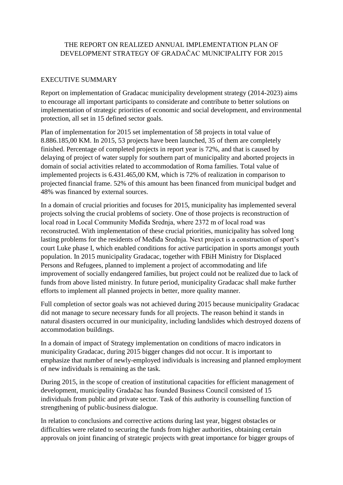### THE REPORT ON REALIZED ANNUAL IMPLEMENTATION PLAN OF DEVELOPMENT STRATEGY OF GRADAČAC MUNICIPALITY FOR 2015

#### EXECUTIVE SUMMARY

Report on implementation of Gradacac municipality development strategy (2014-2023) aims to encourage all important participants to considerate and contribute to better solutions on implementation of strategic priorities of economic and social development, and environmental protection, all set in 15 defined sector goals.

Plan of implementation for 2015 set implementation of 58 projects in total value of 8.886.185,00 KM. In 2015, 53 projects have been launched, 35 of them are completely finished. Percentage of completed projects in report year is 72%, and that is caused by delaying of project of water supply for southern part of municipality and aborted projects in domain of social activities related to accommodation of Roma families. Total value of implemented projects is 6.431.465,00 KM, which is 72% of realization in comparison to projected financial frame. 52% of this amount has been financed from municipal budget and 48% was financed by external sources.

In a domain of crucial priorities and focuses for 2015, municipality has implemented several projects solving the crucial problems of society. One of those projects is reconstruction of local road in Local Community Međiđa Srednja, where 2372 m of local road was reconstructed. With implementation of these crucial priorities, municipality has solved long lasting problems for the residents of Međiđa Srednja. Next project is a construction of sport's court Luke phase I, which enabled conditions for active participation in sports amongst youth population. In 2015 municipality Gradacac, together with FBiH Ministry for Displaced Persons and Refugees, planned to implement a project of accommodating and life improvement of socially endangered families, but project could not be realized due to lack of funds from above listed ministry. In future period, municipality Gradacac shall make further efforts to implement all planned projects in better, more quality manner.

Full completion of sector goals was not achieved during 2015 because municipality Gradacac did not manage to secure necessary funds for all projects. The reason behind it stands in natural disasters occurred in our municipality, including landslides which destroyed dozens of accommodation buildings.

In a domain of impact of Strategy implementation on conditions of macro indicators in municipality Gradacac, during 2015 bigger changes did not occur. It is important to emphasize that number of newly-employed individuals is increasing and planned employment of new individuals is remaining as the task.

During 2015, in the scope of creation of institutional capacities for efficient management of development, municipality Gradačac has founded Business Council consisted of 15 individuals from public and private sector. Task of this authority is counselling function of strengthening of public-business dialogue.

In relation to conclusions and corrective actions during last year, biggest obstacles or difficulties were related to securing the funds from higher authorities, obtaining certain approvals on joint financing of strategic projects with great importance for bigger groups of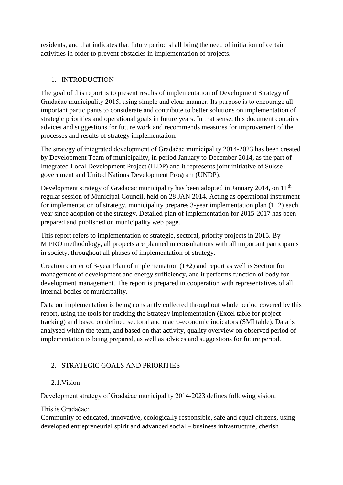residents, and that indicates that future period shall bring the need of initiation of certain activities in order to prevent obstacles in implementation of projects.

## 1. INTRODUCTION

The goal of this report is to present results of implementation of Development Strategy of Gradačac municipality 2015, using simple and clear manner. Its purpose is to encourage all important participants to considerate and contribute to better solutions on implementation of strategic priorities and operational goals in future years. In that sense, this document contains advices and suggestions for future work and recommends measures for improvement of the processes and results of strategy implementation.

The strategy of integrated development of Gradačac municipality 2014-2023 has been created by Development Team of municipality, in period January to December 2014, as the part of Integrated Local Development Project (ILDP) and it represents joint initiative of Suisse government and United Nations Development Program (UNDP).

Development strategy of Gradacac municipality has been adopted in January 2014, on 11<sup>th</sup> regular session of Municipal Council, held on 28 JAN 2014. Acting as operational instrument for implementation of strategy, municipality prepares 3-year implementation plan  $(1+2)$  each year since adoption of the strategy. Detailed plan of implementation for 2015-2017 has been prepared and published on municipality web page.

This report refers to implementation of strategic, sectoral, priority projects in 2015. By MiPRO methodology, all projects are planned in consultations with all important participants in society, throughout all phases of implementation of strategy.

Creation carrier of 3-year Plan of implementation (1+2) and report as well is Section for management of development and energy sufficiency, and it performs function of body for development management. The report is prepared in cooperation with representatives of all internal bodies of municipality.

Data on implementation is being constantly collected throughout whole period covered by this report, using the tools for tracking the Strategy implementation (Excel table for project tracking) and based on defined sectoral and macro-economic indicators (SMI table). Data is analysed within the team, and based on that activity, quality overview on observed period of implementation is being prepared, as well as advices and suggestions for future period.

# 2. STRATEGIC GOALS AND PRIORITIES

### 2.1.Vision

Development strategy of Gradačac municipality 2014-2023 defines following vision:

### This is Gradačac:

Community of educated, innovative, ecologically responsible, safe and equal citizens, using developed entrepreneurial spirit and advanced social – business infrastructure, cherish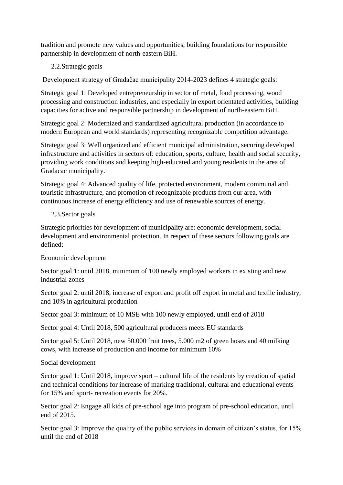tradition and promote new values and opportunities, building foundations for responsible partnership in development of north-eastern BiH.

### 2.2.Strategic goals

Development strategy of Gradačac municipality 2014-2023 defines 4 strategic goals:

Strategic goal 1: Developed entrepreneurship in sector of metal, food processing, wood processing and construction industries, and especially in export orientated activities, building capacities for active and responsible partnership in development of north-eastern BiH.

Strategic goal 2: Modernized and standardized agricultural production (in accordance to modern European and world standards) representing recognizable competition advantage.

Strategic goal 3: Well organized and efficient municipal administration, securing developed infrastructure and activities in sectors of: education, sports, culture, health and social security, providing work conditions and keeping high-educated and young residents in the area of Gradacac municipality.

Strategic goal 4: Advanced quality of life, protected environment, modern communal and touristic infrastructure, and promotion of recognizable products from our area, with continuous increase of energy efficiency and use of renewable sources of energy.

#### 2.3.Sector goals

Strategic priorities for development of municipality are: economic development, social development and environmental protection. In respect of these sectors following goals are defined:

#### Economic development

Sector goal 1: until 2018, minimum of 100 newly employed workers in existing and new industrial zones

Sector goal 2: until 2018, increase of export and profit off export in metal and textile industry, and 10% in agricultural production

Sector goal 3: minimum of 10 MSE with 100 newly employed, until end of 2018

Sector goal 4: Until 2018, 500 agricultural producers meets EU standards

Sector goal 5: Until 2018, new 50.000 fruit trees, 5.000 m2 of green hoses and 40 milking cows, with increase of production and income for minimum 10%

#### Social development

Sector goal 1: Until 2018, improve sport – cultural life of the residents by creation of spatial and technical conditions for increase of marking traditional, cultural and educational events for 15% and sport- recreation events for 20%.

Sector goal 2: Engage all kids of pre-school age into program of pre-school education, until end of 2015.

Sector goal 3: Improve the quality of the public services in domain of citizen's status, for 15% until the end of 2018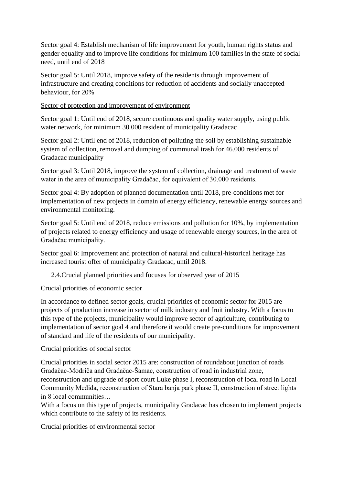Sector goal 4: Establish mechanism of life improvement for youth, human rights status and gender equality and to improve life conditions for minimum 100 families in the state of social need, until end of 2018

Sector goal 5: Until 2018, improve safety of the residents through improvement of infrastructure and creating conditions for reduction of accidents and socially unaccepted behaviour, for 20%

Sector of protection and improvement of environment

Sector goal 1: Until end of 2018, secure continuous and quality water supply, using public water network, for minimum 30.000 resident of municipality Gradacac

Sector goal 2: Until end of 2018, reduction of polluting the soil by establishing sustainable system of collection, removal and dumping of communal trash for 46.000 residents of Gradacac municipality

Sector goal 3: Until 2018, improve the system of collection, drainage and treatment of waste water in the area of municipality Gradačac, for equivalent of 30.000 residents.

Sector goal 4: By adoption of planned documentation until 2018, pre-conditions met for implementation of new projects in domain of energy efficiency, renewable energy sources and environmental monitoring.

Sector goal 5: Until end of 2018, reduce emissions and pollution for 10%, by implementation of projects related to energy efficiency and usage of renewable energy sources, in the area of Gradačac municipality.

Sector goal 6: Improvement and protection of natural and cultural-historical heritage has increased tourist offer of municipality Gradacac, until 2018.

2.4.Crucial planned priorities and focuses for observed year of 2015

Crucial priorities of economic sector

In accordance to defined sector goals, crucial priorities of economic sector for 2015 are projects of production increase in sector of milk industry and fruit industry. With a focus to this type of the projects, municipality would improve sector of agriculture, contributing to implementation of sector goal 4 and therefore it would create pre-conditions for improvement of standard and life of the residents of our municipality.

Crucial priorities of social sector

Crucial priorities in social sector 2015 are: construction of roundabout junction of roads Gradačac-Modriča and Gradačac-Šamac, construction of road in industrial zone, reconstruction and upgrade of sport court Luke phase I, reconstruction of local road in Local Community Međiđa, reconstruction of Stara banja park phase II, construction of street lights in 8 local communities…

With a focus on this type of projects, municipality Gradacac has chosen to implement projects which contribute to the safety of its residents.

Crucial priorities of environmental sector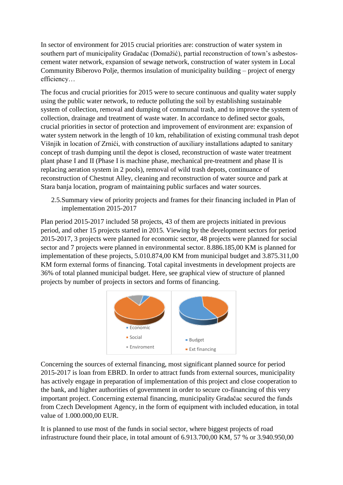In sector of environment for 2015 crucial priorities are: construction of water system in southern part of municipality Gradačac (Domažić), partial reconstruction of town's asbestoscement water network, expansion of sewage network, construction of water system in Local Community Biberovo Polje, thermos insulation of municipality building – project of energy efficiency…

The focus and crucial priorities for 2015 were to secure continuous and quality water supply using the public water network, to reducte polluting the soil by establishing sustainable system of collection, removal and dumping of communal trash, and to improve the system of collection, drainage and treatment of waste water. In accordance to defined sector goals, crucial priorities in sector of protection and improvement of environment are: expansion of water system network in the length of 10 km, rehabilitation of existing communal trash depot Višnjik in location of Zrnići, with construction of auxiliary installations adapted to sanitary concept of trash dumping until the depot is closed, reconstruction of waste water treatment plant phase I and II (Phase I is machine phase, mechanical pre-treatment and phase II is replacing aeration system in 2 pools), removal of wild trash depots, continuance of reconstruction of Chestnut Alley, cleaning and reconstruction of water source and park at Stara banja location, program of maintaining public surfaces and water sources.

2.5.Summary view of priority projects and frames for their financing included in Plan of implementation 2015-2017

Plan period 2015-2017 included 58 projects, 43 of them are projects initiated in previous period, and other 15 projects started in 2015. Viewing by the development sectors for period 2015-2017, 3 projects were planned for economic sector, 48 projects were planned for social sector and 7 projects were planned in environmental sector. 8.886.185,00 KM is planned for implementation of these projects, 5.010.874,00 KM from municipal budget and 3.875.311,00 KM form external forms of financing. Total capital investments in development projects are 36% of total planned municipal budget. Here, see graphical view of structure of planned projects by number of projects in sectors and forms of financing.



Concerning the sources of external financing, most significant planned source for period 2015-2017 is loan from EBRD. In order to attract funds from external sources, municipality has actively engage in preparation of implementation of this project and close cooperation to the bank, and higher authorities of government in order to secure co-financing of this very important project. Concerning external financing, municipality Gradačac secured the funds from Czech Development Agency, in the form of equipment with included education, in total value of 1.000.000,00 EUR.

It is planned to use most of the funds in social sector, where biggest projects of road infrastructure found their place, in total amount of 6.913.700,00 KM, 57 % or 3.940.950,00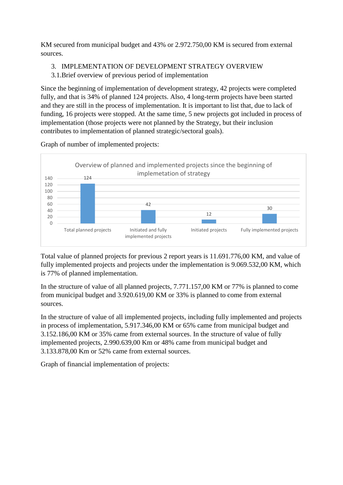KM secured from municipal budget and 43% or 2.972.750,00 KM is secured from external sources.

3. IMPLEMENTATION OF DEVELOPMENT STRATEGY OVERVIEW

3.1.Brief overview of previous period of implementation

Since the beginning of implementation of development strategy, 42 projects were completed fully, and that is 34% of planned 124 projects. Also, 4 long-term projects have been started and they are still in the process of implementation. It is important to list that, due to lack of funding, 16 projects were stopped. At the same time, 5 new projects got included in process of implementation (those projects were not planned by the Strategy, but their inclusion contributes to implementation of planned strategic/sectoral goals).



Graph of number of implemented projects:

Total value of planned projects for previous 2 report years is 11.691.776,00 KM, and value of fully implemented projects and projects under the implementation is 9.069.532,00 KM, which is 77% of planned implementation.

In the structure of value of all planned projects, 7.771.157,00 KM or 77% is planned to come from municipal budget and 3.920.619,00 KM or 33% is planned to come from external sources.

In the structure of value of all implemented projects, including fully implemented and projects in process of implementation, 5.917.346,00 KM or 65% came from municipal budget and 3.152.186,00 KM or 35% came from external sources. In the structure of value of fully implemented projects, 2.990.639,00 Km or 48% came from municipal budget and 3.133.878,00 Km or 52% came from external sources.

Graph of financial implementation of projects: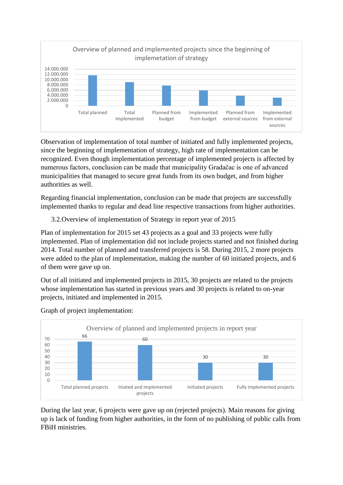

Observation of implementation of total number of initiated and fully implemented projects, since the beginning of implementation of strategy, high rate of implementation can be recognized. Even though implementation percentage of implemented projects is affected by numerous factors, conclusion can be made that municipality Gradačac is one of advanced municipalities that managed to secure great funds from its own budget, and from higher authorities as well.

Regarding financial implementation, conclusion can be made that projects are successfully implemented thanks to regular and dead line respective transactions from higher authorities.

### 3.2.Overview of implementation of Strategy in report year of 2015

Plan of implementation for 2015 set 43 projects as a goal and 33 projects were fully implemented. Plan of implementation did not include projects started and not finished during 2014. Total number of planned and transferred projects is 58. During 2015, 2 more projects were added to the plan of implementation, making the number of 60 initiated projects, and 6 of them were gave up on.

Out of all initiated and implemented projects in 2015, 30 projects are related to the projects whose implementation has started in previous years and 30 projects is related to on-year projects, initiated and implemented in 2015.



Graph of project implementation:

During the last year, 6 projects were gave up on (rejected projects). Main reasons for giving up is lack of funding from higher authorities, in the form of no publishing of public calls from FBiH ministries.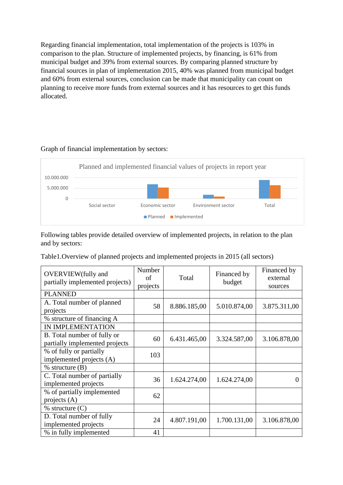Regarding financial implementation, total implementation of the projects is 103% in comparison to the plan. Structure of implemented projects, by financing, is 61% from municipal budget and 39% from external sources. By comparing planned structure by financial sources in plan of implementation 2015, 40% was planned from municipal budget and 60% from external sources, conclusion can be made that municipality can count on planning to receive more funds from external sources and it has resources to get this funds allocated.



#### Graph of financial implementation by sectors:

Following tables provide detailed overview of implemented projects, in relation to the plan and by sectors:

Table1.Overview of planned projects and implemented projects in 2015 (all sectors)

| <b>OVERVIEW</b> (fully and<br>partially implemented projects) | Number<br>of<br>projects | Total        | Financed by<br>budget | Financed by<br>external<br>sources |
|---------------------------------------------------------------|--------------------------|--------------|-----------------------|------------------------------------|
| <b>PLANNED</b>                                                |                          |              |                       |                                    |
| A. Total number of planned<br>projects                        | 58                       | 8.886.185,00 | 5.010.874,00          | 3.875.311,00                       |
| % structure of financing A                                    |                          |              |                       |                                    |
| <b>IN IMPLEMENTATION</b>                                      |                          |              |                       |                                    |
| B. Total number of fully or<br>partially implemented projects | 60                       | 6.431.465,00 | 3.324.587,00          | 3.106.878,00                       |
| % of fully or partially<br>implemented projects (A)           | 103                      |              |                       |                                    |
| $%$ structure $(B)$                                           |                          |              |                       |                                    |
| C. Total number of partially<br>implemented projects          | 36                       | 1.624.274,00 | 1.624.274,00          | 0                                  |
| % of partially implemented<br>projects (A)                    | 62                       |              |                       |                                    |
| $%$ structure $(C)$                                           |                          |              |                       |                                    |
| D. Total number of fully<br>implemented projects              | 24                       | 4.807.191,00 | 1.700.131,00          | 3.106.878,00                       |
| % in fully implemented                                        | 41                       |              |                       |                                    |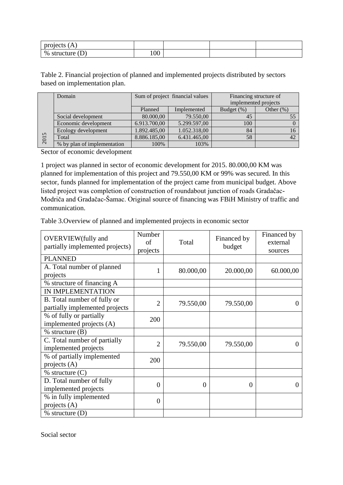| $\lambda$<br>projects<br>17 T |     |  |  |
|-------------------------------|-----|--|--|
| $\%$<br>structure<br>┻        | 100 |  |  |

Table 2. Financial projection of planned and implemented projects distributed by sectors based on implementation plan.

|      | Domain                      |              | Sum of project financial values | Financing structure of |              |  |  |
|------|-----------------------------|--------------|---------------------------------|------------------------|--------------|--|--|
|      |                             |              |                                 | implemented projects   |              |  |  |
|      |                             | Planned      | Implemented                     | Budget (%)             | Other $(\%)$ |  |  |
|      | Social development          | 80.000,00    | 79.550,00                       | 45                     |              |  |  |
|      | Economic development        | 6.913.700,00 | 5.299.597,00                    | 100                    |              |  |  |
|      | Ecology development         | 1.892.485,00 | 1.052.318,00                    | 84                     | 16           |  |  |
| 2015 | Total                       | 8.886.185,00 | 6.431.465,00                    | 58                     | 42           |  |  |
|      | % by plan of implementation | 100%         | 103%                            |                        |              |  |  |

Sector of economic development

1 project was planned in sector of economic development for 2015. 80.000,00 KM was planned for implementation of this project and 79.550,00 KM or 99% was secured. In this sector, funds planned for implementation of the project came from municipal budget. Above listed project was completion of construction of roundabout junction of roads Gradačac-Modriča and Gradačac-Šamac. Original source of financing was FBiH Ministry of traffic and communication.

| Table 3. Overview of planned and implemented projects in economic sector |  |  |  |  |
|--------------------------------------------------------------------------|--|--|--|--|
|--------------------------------------------------------------------------|--|--|--|--|

| <b>OVERVIEW</b> (fully and<br>partially implemented projects) | Number<br>of<br>projects | Total     | Financed by<br>budget | Financed by<br>external<br>sources |
|---------------------------------------------------------------|--------------------------|-----------|-----------------------|------------------------------------|
| <b>PLANNED</b>                                                |                          |           |                       |                                    |
| A. Total number of planned<br>projects                        | 1                        | 80.000,00 | 20.000,00             | 60.000,00                          |
| % structure of financing A                                    |                          |           |                       |                                    |
| IN IMPLEMENTATION                                             |                          |           |                       |                                    |
| B. Total number of fully or<br>partially implemented projects | $\overline{2}$           | 79.550,00 | 79.550,00             | $\mathcal{O}$                      |
| % of fully or partially<br>implemented projects (A)           | 200                      |           |                       |                                    |
| $%$ structure $(B)$                                           |                          |           |                       |                                    |
| C. Total number of partially<br>implemented projects          | $\overline{2}$           | 79.550,00 | 79.550,00             |                                    |
| % of partially implemented<br>projects $(A)$                  | 200                      |           |                       |                                    |
| $%$ structure $(C)$                                           |                          |           |                       |                                    |
| D. Total number of fully<br>implemented projects              | $\theta$                 | $\theta$  | $\overline{0}$        | $\Omega$                           |
| % in fully implemented<br>projects $(A)$                      | $\overline{0}$           |           |                       |                                    |
| $%$ structure $(D)$                                           |                          |           |                       |                                    |

Social sector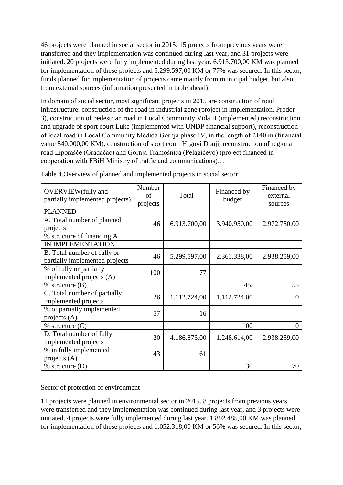46 projects were planned in social sector in 2015. 15 projects from previous years were transferred and they implementation was continued during last year, and 31 projects were initiated. 20 projects were fully implemented during last year. 6.913.700,00 KM was planned for implementation of these projects and 5.299.597,00 KM or 77% was secured. In this sector, funds planned for implementation of projects came mainly from municipal budget, but also from external sources (information presented in table ahead).

In domain of social sector, most significant projects in 2015 are construction of road infrastructure: construction of the road in industrial zone (project in implementation, Prodor 3), construction of pedestrian road in Local Community Vida II (implemented) reconstruction and upgrade of sport court Luke (implemented with UNDP financial support), reconstruction of local road in Local Community Međiđa Gornja phase IV, in the length of 2140 m (financial value 540.000,00 KM), construction of sport court Hrgovi Donji, reconstruction of regional road Liporašće (Gradačac) and Gornja Tramošnica (Pelagićevo) (project financed in cooperation with FBiH Ministry of traffic and communications)…

| <b>OVERVIEW</b> (fully and<br>partially implemented projects) | Number<br>of<br>projects | Total        | Financed by<br>budget | Financed by<br>external<br>sources |  |
|---------------------------------------------------------------|--------------------------|--------------|-----------------------|------------------------------------|--|
| <b>PLANNED</b>                                                |                          |              |                       |                                    |  |
| A. Total number of planned<br>projects                        | 46                       | 6.913.700,00 | 3.940.950,00          | 2.972.750,00                       |  |
| % structure of financing A                                    |                          |              |                       |                                    |  |
| IN IMPLEMENTATION                                             |                          |              |                       |                                    |  |
| B. Total number of fully or<br>partially implemented projects | 46                       | 5.299.597,00 | 2.361.338,00          | 2.938.259,00                       |  |
| % of fully or partially<br>implemented projects (A)           | 100                      | 77           |                       |                                    |  |
| $%$ structure $(B)$                                           |                          |              | 45.                   | 55                                 |  |
| C. Total number of partially<br>implemented projects          | 26                       | 1.112.724,00 | 1.112.724,00          | $\Omega$                           |  |
| % of partially implemented<br>projects $(A)$                  | 57                       | 16           |                       |                                    |  |
| $%$ structure $(C)$                                           |                          |              | 100                   | $\Omega$                           |  |
| D. Total number of fully<br>implemented projects              | 20                       | 4.186.873,00 | 1.248.614,00          | 2.938.259,00                       |  |
| % in fully implemented<br>projects $(A)$                      | 43                       | 61           |                       |                                    |  |
| $%$ structure $(D)$                                           |                          |              | 30                    | 70                                 |  |

Table 4.Overview of planned and implemented projects in social sector

Sector of protection of environment

11 projects were planned in environmental sector in 2015. 8 projects from previous years were transferred and they implementation was continued during last year, and 3 projects were initiated. 4 projects were fully implemented during last year. 1.892.485,00 KM was planned for implementation of these projects and 1.052.318,00 KM or 56% was secured. In this sector,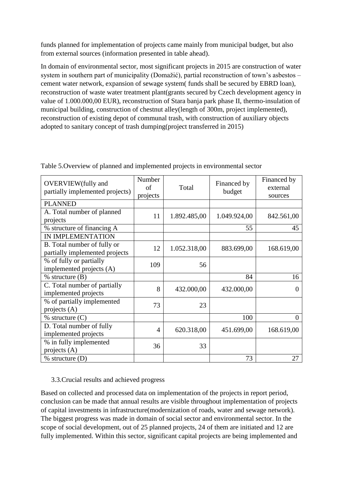funds planned for implementation of projects came mainly from municipal budget, but also from external sources (information presented in table ahead).

In domain of environmental sector, most significant projects in 2015 are construction of water system in southern part of municipality (Domažić), partial reconstruction of town's asbestos – cement water network, expansion of sewage system( funds shall be secured by EBRD loan), reconstruction of waste water treatment plant(grants secured by Czech development agency in value of 1.000.000,00 EUR), reconstruction of Stara banja park phase II, thermo-insulation of municipal building, construction of chestnut alley(length of 300m, project implemented), reconstruction of existing depot of communal trash, with construction of auxiliary objects adopted to sanitary concept of trash dumping(project transferred in 2015)

| <b>OVERVIEW</b> (fully and<br>partially implemented projects) | Number<br>of<br>projects | Total        | Financed by<br>budget | Financed by<br>external<br>sources |
|---------------------------------------------------------------|--------------------------|--------------|-----------------------|------------------------------------|
| <b>PLANNED</b>                                                |                          |              |                       |                                    |
| A. Total number of planned<br>projects                        | 11                       | 1.892.485,00 | 1.049.924,00          | 842.561,00                         |
| % structure of financing A                                    |                          |              | 55                    | 45                                 |
| IN IMPLEMENTATION                                             |                          |              |                       |                                    |
| B. Total number of fully or<br>partially implemented projects | 12                       | 1.052.318,00 | 883.699,00            | 168.619,00                         |
| % of fully or partially<br>implemented projects (A)           | 109                      | 56           |                       |                                    |
| $%$ structure $(B)$                                           |                          |              | 84                    | 16                                 |
| C. Total number of partially<br>implemented projects          | 8                        | 432.000,00   | 432.000,00            | 0                                  |
| % of partially implemented<br>projects $(A)$                  | 73                       | 23           |                       |                                    |
| $%$ structure $(C)$                                           |                          |              | 100                   | $\Omega$                           |
| D. Total number of fully<br>implemented projects              | $\overline{4}$           | 620.318,00   | 451.699,00            | 168.619,00                         |
| % in fully implemented<br>projects $(A)$                      | 36                       | 33           |                       |                                    |
| $%$ structure $(D)$                                           |                          |              | 73                    | 27                                 |

Table 5.Overview of planned and implemented projects in environmental sector

### 3.3.Crucial results and achieved progress

Based on collected and processed data on implementation of the projects in report period, conclusion can be made that annual results are visible throughout implementation of projects of capital investments in infrastructure(modernization of roads, water and sewage network). The biggest progress was made in domain of social sector and environmental sector. In the scope of social development, out of 25 planned projects, 24 of them are initiated and 12 are fully implemented. Within this sector, significant capital projects are being implemented and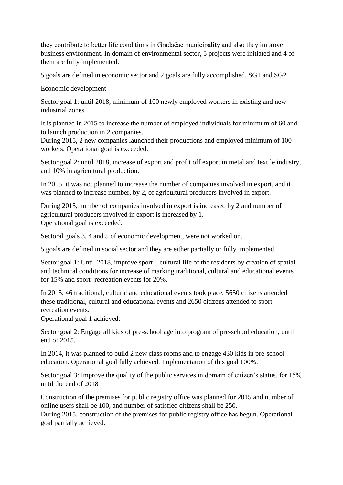they contribute to better life conditions in Gradačac municipality and also they improve business environment. In domain of environmental sector, 5 projects were initiated and 4 of them are fully implemented.

5 goals are defined in economic sector and 2 goals are fully accomplished, SG1 and SG2.

Economic development

Sector goal 1: until 2018, minimum of 100 newly employed workers in existing and new industrial zones

It is planned in 2015 to increase the number of employed individuals for minimum of 60 and to launch production in 2 companies.

During 2015, 2 new companies launched their productions and employed minimum of 100 workers. Operational goal is exceeded.

Sector goal 2: until 2018, increase of export and profit off export in metal and textile industry, and 10% in agricultural production.

In 2015, it was not planned to increase the number of companies involved in export, and it was planned to increase number, by 2, of agricultural producers involved in export.

During 2015, number of companies involved in export is increased by 2 and number of agricultural producers involved in export is increased by 1. Operational goal is exceeded.

Sectoral goals 3, 4 and 5 of economic development, were not worked on.

5 goals are defined in social sector and they are either partially or fully implemented.

Sector goal 1: Until 2018, improve sport – cultural life of the residents by creation of spatial and technical conditions for increase of marking traditional, cultural and educational events for 15% and sport- recreation events for 20%.

In 2015, 46 traditional, cultural and educational events took place, 5650 citizens attended these traditional, cultural and educational events and 2650 citizens attended to sportrecreation events.

Operational goal 1 achieved.

Sector goal 2: Engage all kids of pre-school age into program of pre-school education, until end of 2015.

In 2014, it was planned to build 2 new class rooms and to engage 430 kids in pre-school education. Operational goal fully achieved. Implementation of this goal 100%.

Sector goal 3: Improve the quality of the public services in domain of citizen's status, for 15% until the end of 2018

Construction of the premises for public registry office was planned for 2015 and number of online users shall be 100, and number of satisfied citizens shall be 250.

During 2015, construction of the premises for public registry office has begun. Operational goal partially achieved.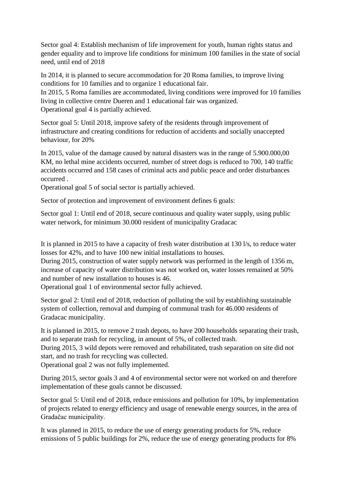Sector goal 4: Establish mechanism of life improvement for youth, human rights status and gender equality and to improve life conditions for minimum 100 families in the state of social need, until end of 2018

In 2014, it is planned to secure accommodation for 20 Roma families, to improve living conditions for 10 families and to organize 1 educational fair.

In 2015, 5 Roma families are accommodated, living conditions were improved for 10 families living in collective centre Dueren and 1 educational fair was organized. Operational goal 4 is partially achieved.

Sector goal 5: Until 2018, improve safety of the residents through improvement of infrastructure and creating conditions for reduction of accidents and socially unaccepted behaviour, for 20%

In 2015, value of the damage caused by natural disasters was in the range of 5.900.000,00 KM, no lethal mine accidents occurred, number of street dogs is reduced to 700, 140 traffic accidents occurred and 158 cases of criminal acts and public peace and order disturbances occurred .

Operational goal 5 of social sector is partially achieved.

Sector of protection and improvement of environment defines 6 goals:

Sector goal 1: Until end of 2018, secure continuous and quality water supply, using public water network, for minimum 30.000 resident of municipality Gradacac

It is planned in 2015 to have a capacity of fresh water distribution at 130 l/s, to reduce water losses for 42%, and to have 100 new initial installations to houses.

During 2015, construction of water supply network was performed in the length of 1356 m, increase of capacity of water distribution was not worked on, water losses remained at 50% and number of new installation to houses is 46.

Operational goal 1 of environmental sector fully achieved.

Sector goal 2: Until end of 2018, reduction of polluting the soil by establishing sustainable system of collection, removal and dumping of communal trash for 46.000 residents of Gradacac municipality.

It is planned in 2015, to remove 2 trash depots, to have 200 households separating their trash, and to separate trash for recycling, in amount of 5%, of collected trash.

During 2015, 3 wild depots were removed and rehabilitated, trash separation on site did not start, and no trash for recycling was collected.

Operational goal 2 was not fully implemented.

During 2015, sector goals 3 and 4 of environmental sector were not worked on and therefore implementation of these goals cannot be discussed.

Sector goal 5: Until end of 2018, reduce emissions and pollution for 10%, by implementation of projects related to energy efficiency and usage of renewable energy sources, in the area of Gradačac municipality.

It was planned in 2015, to reduce the use of energy generating products for 5%, reduce emissions of 5 public buildings for 2%, reduce the use of energy generating products for 8%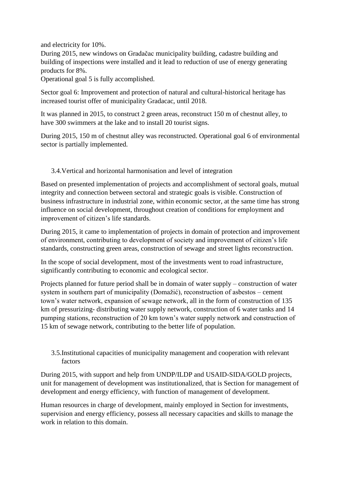and electricity for 10%.

During 2015, new windows on Gradačac municipality building, cadastre building and building of inspections were installed and it lead to reduction of use of energy generating products for 8%.

Operational goal 5 is fully accomplished.

Sector goal 6: Improvement and protection of natural and cultural-historical heritage has increased tourist offer of municipality Gradacac, until 2018.

It was planned in 2015, to construct 2 green areas, reconstruct 150 m of chestnut alley, to have 300 swimmers at the lake and to install 20 tourist signs.

During 2015, 150 m of chestnut alley was reconstructed. Operational goal 6 of environmental sector is partially implemented.

### 3.4.Vertical and horizontal harmonisation and level of integration

Based on presented implementation of projects and accomplishment of sectoral goals, mutual integrity and connection between sectoral and strategic goals is visible. Construction of business infrastructure in industrial zone, within economic sector, at the same time has strong influence on social development, throughout creation of conditions for employment and improvement of citizen's life standards.

During 2015, it came to implementation of projects in domain of protection and improvement of environment, contributing to development of society and improvement of citizen's life standards, constructing green areas, construction of sewage and street lights reconstruction.

In the scope of social development, most of the investments went to road infrastructure, significantly contributing to economic and ecological sector.

Projects planned for future period shall be in domain of water supply – construction of water system in southern part of municipality (Domažić), reconstruction of asbestos – cement town's water network, expansion of sewage network, all in the form of construction of 135 km of pressurizing- distributing water supply network, construction of 6 water tanks and 14 pumping stations, reconstruction of 20 km town's water supply network and construction of 15 km of sewage network, contributing to the better life of population.

3.5.Institutional capacities of municipality management and cooperation with relevant factors

During 2015, with support and help from UNDP/ILDP and USAID-SIDA/GOLD projects, unit for management of development was institutionalized, that is Section for management of development and energy efficiency, with function of management of development.

Human resources in charge of development, mainly employed in Section for investments, supervision and energy efficiency, possess all necessary capacities and skills to manage the work in relation to this domain.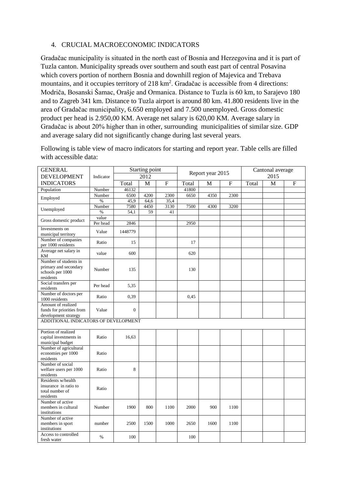#### 4. CRUCIAL MACROECONOMIC INDICATORS

Gradačac municipality is situated in the north east of Bosnia and Herzegovina and it is part of Tuzla canton. Municipality spreads over southern and south east part of central Posavina which covers portion of northern Bosnia and downhill region of Majevica and Trebava mountains, and it occupies territory of 218 km<sup>2</sup>. Gradačac is accessible from 4 directions: Modriča, Bosanski Šamac, Orašje and Ormanica. Distance to Tuzla is 60 km, to Sarajevo 180 and to Zagreb 341 km. Distance to Tuzla airport is around 80 km. 41.800 residents live in the area of Gradačac municipality, 6.650 employed and 7.500 unemployed. Gross domestic product per head is 2.950,00 KM. Average net salary is 620,00 KM. Average salary in Gradačac is about 20% higher than in other, surrounding municipalities of similar size. GDP and average salary did not significantly change during last several years.

Following is table view of macro indicators for starting and report year. Table cells are filled with accessible data:

| <b>GENERAL</b><br><b>DEVELOPMENT</b>                                            | Indicator | Starting point<br>2012 |      | Report year 2015 |       |      | Cantonal average<br>2015 |       |   |                |
|---------------------------------------------------------------------------------|-----------|------------------------|------|------------------|-------|------|--------------------------|-------|---|----------------|
| <b>INDICATORS</b>                                                               |           | Total                  | M    | $\mathbf F$      | Total | M    | $\mathbf F$              | Total | M | $\overline{F}$ |
| Population                                                                      | Number    | 46132                  |      |                  | 41800 |      |                          |       |   |                |
|                                                                                 | Number    | 6500                   | 4200 | 2300             | 6650  | 4350 | 2300                     |       |   |                |
| Employed                                                                        | $\%$      | 45,9                   | 64,6 | 35,4             |       |      |                          |       |   |                |
|                                                                                 | Number    | 7580                   | 4450 | 3130             | 7500  | 4300 | 3200                     |       |   |                |
| Unemployed                                                                      | $\%$      | 54,1                   | 59   | 41               |       |      |                          |       |   |                |
|                                                                                 | value     |                        |      |                  |       |      |                          |       |   |                |
| Gross domestic product                                                          | Per head  | 2846                   |      |                  | 2950  |      |                          |       |   |                |
| Investments on                                                                  | Value     | 1448779                |      |                  |       |      |                          |       |   |                |
| municipal territory                                                             |           |                        |      |                  |       |      |                          |       |   |                |
| Number of companies<br>per 1000 residents                                       | Ratio     | 15                     |      |                  | 17    |      |                          |       |   |                |
| Average net salary in<br>KM                                                     | value     | 600                    |      |                  | 620   |      |                          |       |   |                |
| Number of students in<br>primary and secondary<br>schools per 1000<br>residents | Number    | 135                    |      |                  | 130   |      |                          |       |   |                |
| Social transfers per<br>residents                                               | Per head  | 5,35                   |      |                  |       |      |                          |       |   |                |
| Number of doctors per<br>1000 residents                                         | Ratio     | 0,39                   |      |                  | 0,45  |      |                          |       |   |                |
| Amount of realized<br>funds for priorities from<br>development strategy         | Value     | $\overline{0}$         |      |                  |       |      |                          |       |   |                |
| ADDITIONAL INDICATORS OF DEVELOPMENT                                            |           |                        |      |                  |       |      |                          |       |   |                |
| Portion of realized<br>capital investments in<br>municipal budget               | Ratio     | 16,63                  |      |                  |       |      |                          |       |   |                |
| Number of agricultural<br>economies per 1000<br>residents                       | Ratio     |                        |      |                  |       |      |                          |       |   |                |
| Number of social<br>welfare users per 1000<br>residents                         | Ratio     | 8                      |      |                  |       |      |                          |       |   |                |
| Residents w/health<br>insurance in ratio to<br>total number of<br>residents     | Ratio     |                        |      |                  |       |      |                          |       |   |                |
| Number of active<br>members in cultural<br>institutions                         | Number    | 1900                   | 800  | 1100             | 2000  | 900  | 1100                     |       |   |                |
| Number of active<br>members in sport<br>institutions                            | number    | 2500                   | 1500 | 1000             | 2650  | 1600 | 1100                     |       |   |                |
| Access to controlled<br>fresh water                                             | $\%$      | 100                    |      |                  | 100   |      |                          |       |   |                |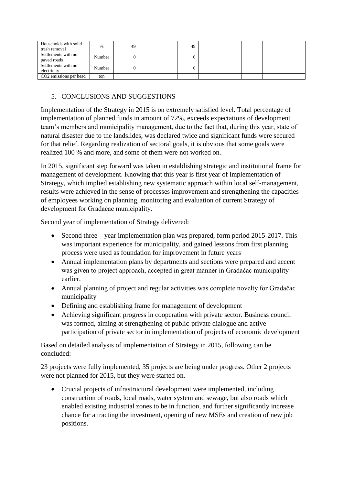| Households with solid<br>trash removal | $\%$   | 49 |  | 49 |  |  |  |
|----------------------------------------|--------|----|--|----|--|--|--|
| Settlements with no<br>paved roads     | Number |    |  |    |  |  |  |
| Settlements with no<br>electricity     | Number |    |  |    |  |  |  |
| CO <sub>2</sub> emissions per head     | ton    |    |  |    |  |  |  |

# 5. CONCLUSIONS AND SUGGESTIONS

Implementation of the Strategy in 2015 is on extremely satisfied level. Total percentage of implementation of planned funds in amount of 72%, exceeds expectations of development team's members and municipality management, due to the fact that, during this year, state of natural disaster due to the landslides, was declared twice and significant funds were secured for that relief. Regarding realization of sectoral goals, it is obvious that some goals were realized 100 % and more, and some of them were not worked on.

In 2015, significant step forward was taken in establishing strategic and institutional frame for management of development. Knowing that this year is first year of implementation of Strategy, which implied establishing new systematic approach within local self-management, results were achieved in the sense of processes improvement and strengthening the capacities of employees working on planning, monitoring and evaluation of current Strategy of development for Gradačac municipality.

Second year of implementation of Strategy delivered:

- Second three year implementation plan was prepared, form period 2015-2017. This was important experience for municipality, and gained lessons from first planning process were used as foundation for improvement in future years
- Annual implementation plans by departments and sections were prepared and accent was given to project approach, accepted in great manner in Gradačac municipality earlier.
- Annual planning of project and regular activities was complete novelty for Gradačac municipality
- Defining and establishing frame for management of development
- Achieving significant progress in cooperation with private sector. Business council was formed, aiming at strengthening of public-private dialogue and active participation of private sector in implementation of projects of economic development

Based on detailed analysis of implementation of Strategy in 2015, following can be concluded:

23 projects were fully implemented, 35 projects are being under progress. Other 2 projects were not planned for 2015, but they were started on.

 Crucial projects of infrastructural development were implemented, including construction of roads, local roads, water system and sewage, but also roads which enabled existing industrial zones to be in function, and further significantly increase chance for attracting the investment, opening of new MSEs and creation of new job positions.